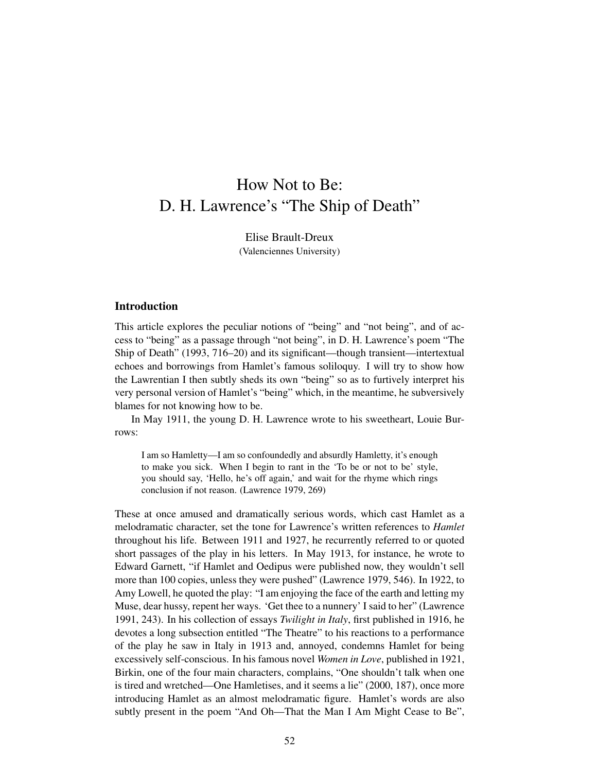# How Not to Be: D. H. Lawrence's "The Ship of Death"

Elise Brault-Dreux (Valenciennes University)

# Introduction

This article explores the peculiar notions of "being" and "not being", and of access to "being" as a passage through "not being", in D. H. Lawrence's poem "The Ship of Death" (1993, 716–20) and its significant—though transient—intertextual echoes and borrowings from Hamlet's famous soliloquy. I will try to show how the Lawrentian I then subtly sheds its own "being" so as to furtively interpret his very personal version of Hamlet's "being" which, in the meantime, he subversively blames for not knowing how to be.

In May 1911, the young D. H. Lawrence wrote to his sweetheart, Louie Burrows:

I am so Hamletty—I am so confoundedly and absurdly Hamletty, it's enough to make you sick. When I begin to rant in the 'To be or not to be' style, you should say, 'Hello, he's off again,' and wait for the rhyme which rings conclusion if not reason. (Lawrence 1979, 269)

These at once amused and dramatically serious words, which cast Hamlet as a melodramatic character, set the tone for Lawrence's written references to *Hamlet* throughout his life. Between 1911 and 1927, he recurrently referred to or quoted short passages of the play in his letters. In May 1913, for instance, he wrote to Edward Garnett, "if Hamlet and Oedipus were published now, they wouldn't sell more than 100 copies, unless they were pushed" (Lawrence 1979, 546). In 1922, to Amy Lowell, he quoted the play: "I am enjoying the face of the earth and letting my Muse, dear hussy, repent her ways. 'Get thee to a nunnery' I said to her" (Lawrence 1991, 243). In his collection of essays *Twilight in Italy*, first published in 1916, he devotes a long subsection entitled "The Theatre" to his reactions to a performance of the play he saw in Italy in 1913 and, annoyed, condemns Hamlet for being excessively self-conscious. In his famous novel *Women in Love*, published in 1921, Birkin, one of the four main characters, complains, "One shouldn't talk when one is tired and wretched—One Hamletises, and it seems a lie" (2000, 187), once more introducing Hamlet as an almost melodramatic figure. Hamlet's words are also subtly present in the poem "And Oh—That the Man I Am Might Cease to Be",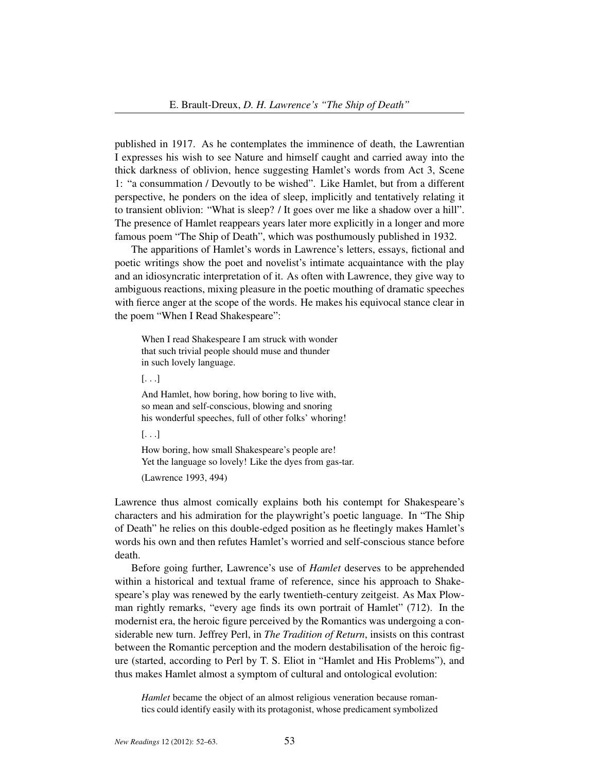published in 1917. As he contemplates the imminence of death, the Lawrentian I expresses his wish to see Nature and himself caught and carried away into the thick darkness of oblivion, hence suggesting Hamlet's words from Act 3, Scene 1: "a consummation / Devoutly to be wished". Like Hamlet, but from a different perspective, he ponders on the idea of sleep, implicitly and tentatively relating it to transient oblivion: "What is sleep? / It goes over me like a shadow over a hill". The presence of Hamlet reappears years later more explicitly in a longer and more famous poem "The Ship of Death", which was posthumously published in 1932.

The apparitions of Hamlet's words in Lawrence's letters, essays, fictional and poetic writings show the poet and novelist's intimate acquaintance with the play and an idiosyncratic interpretation of it. As often with Lawrence, they give way to ambiguous reactions, mixing pleasure in the poetic mouthing of dramatic speeches with fierce anger at the scope of the words. He makes his equivocal stance clear in the poem "When I Read Shakespeare":

When I read Shakespeare I am struck with wonder that such trivial people should muse and thunder in such lovely language.

[. . .]

And Hamlet, how boring, how boring to live with, so mean and self-conscious, blowing and snoring his wonderful speeches, full of other folks' whoring!

[. . .]

How boring, how small Shakespeare's people are! Yet the language so lovely! Like the dyes from gas-tar. (Lawrence 1993, 494)

Lawrence thus almost comically explains both his contempt for Shakespeare's characters and his admiration for the playwright's poetic language. In "The Ship of Death" he relies on this double-edged position as he fleetingly makes Hamlet's words his own and then refutes Hamlet's worried and self-conscious stance before death.

Before going further, Lawrence's use of *Hamlet* deserves to be apprehended within a historical and textual frame of reference, since his approach to Shakespeare's play was renewed by the early twentieth-century zeitgeist. As Max Plowman rightly remarks, "every age finds its own portrait of Hamlet" (712). In the modernist era, the heroic figure perceived by the Romantics was undergoing a considerable new turn. Jeffrey Perl, in *The Tradition of Return*, insists on this contrast between the Romantic perception and the modern destabilisation of the heroic figure (started, according to Perl by T. S. Eliot in "Hamlet and His Problems"), and thus makes Hamlet almost a symptom of cultural and ontological evolution:

*Hamlet* became the object of an almost religious veneration because romantics could identify easily with its protagonist, whose predicament symbolized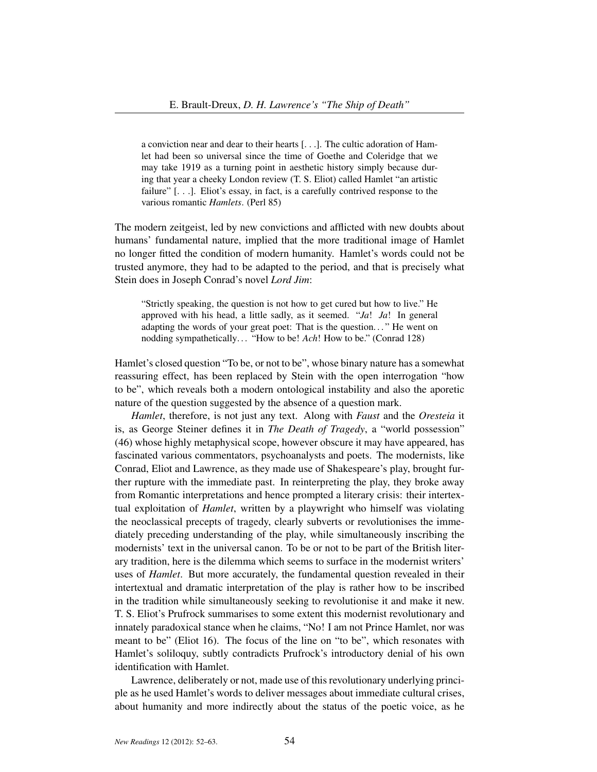a conviction near and dear to their hearts [. . .]. The cultic adoration of Hamlet had been so universal since the time of Goethe and Coleridge that we may take 1919 as a turning point in aesthetic history simply because during that year a cheeky London review (T. S. Eliot) called Hamlet "an artistic failure" [. . .]. Eliot's essay, in fact, is a carefully contrived response to the various romantic *Hamlets*. (Perl 85)

The modern zeitgeist, led by new convictions and afflicted with new doubts about humans' fundamental nature, implied that the more traditional image of Hamlet no longer fitted the condition of modern humanity. Hamlet's words could not be trusted anymore, they had to be adapted to the period, and that is precisely what Stein does in Joseph Conrad's novel *Lord Jim*:

"Strictly speaking, the question is not how to get cured but how to live." He approved with his head, a little sadly, as it seemed. "*Ja*! *Ja*! In general adapting the words of your great poet: That is the question. . . " He went on nodding sympathetically. . . "How to be! *Ach*! How to be." (Conrad 128)

Hamlet's closed question "To be, or not to be", whose binary nature has a somewhat reassuring effect, has been replaced by Stein with the open interrogation "how to be", which reveals both a modern ontological instability and also the aporetic nature of the question suggested by the absence of a question mark.

*Hamlet*, therefore, is not just any text. Along with *Faust* and the *Oresteia* it is, as George Steiner defines it in *The Death of Tragedy*, a "world possession" (46) whose highly metaphysical scope, however obscure it may have appeared, has fascinated various commentators, psychoanalysts and poets. The modernists, like Conrad, Eliot and Lawrence, as they made use of Shakespeare's play, brought further rupture with the immediate past. In reinterpreting the play, they broke away from Romantic interpretations and hence prompted a literary crisis: their intertextual exploitation of *Hamlet*, written by a playwright who himself was violating the neoclassical precepts of tragedy, clearly subverts or revolutionises the immediately preceding understanding of the play, while simultaneously inscribing the modernists' text in the universal canon. To be or not to be part of the British literary tradition, here is the dilemma which seems to surface in the modernist writers' uses of *Hamlet*. But more accurately, the fundamental question revealed in their intertextual and dramatic interpretation of the play is rather how to be inscribed in the tradition while simultaneously seeking to revolutionise it and make it new. T. S. Eliot's Prufrock summarises to some extent this modernist revolutionary and innately paradoxical stance when he claims, "No! I am not Prince Hamlet, nor was meant to be" (Eliot 16). The focus of the line on "to be", which resonates with Hamlet's soliloquy, subtly contradicts Prufrock's introductory denial of his own identification with Hamlet.

Lawrence, deliberately or not, made use of this revolutionary underlying principle as he used Hamlet's words to deliver messages about immediate cultural crises, about humanity and more indirectly about the status of the poetic voice, as he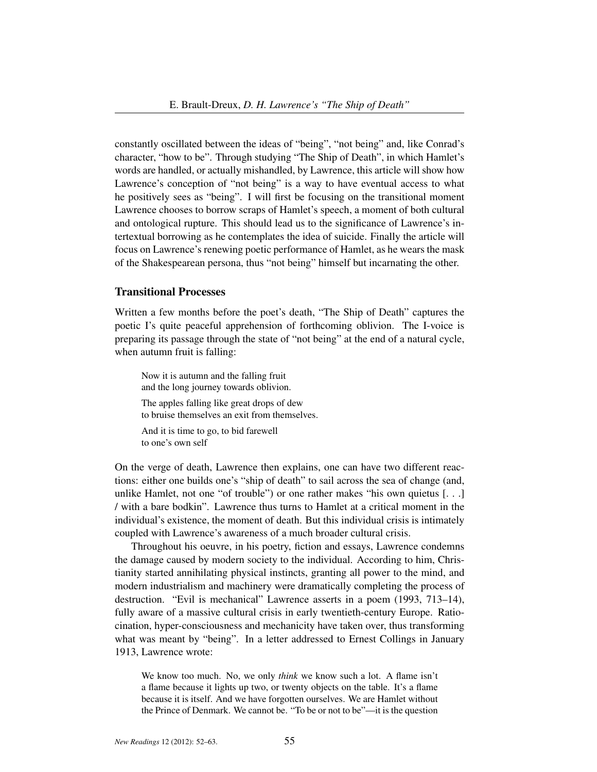constantly oscillated between the ideas of "being", "not being" and, like Conrad's character, "how to be". Through studying "The Ship of Death", in which Hamlet's words are handled, or actually mishandled, by Lawrence, this article will show how Lawrence's conception of "not being" is a way to have eventual access to what he positively sees as "being". I will first be focusing on the transitional moment Lawrence chooses to borrow scraps of Hamlet's speech, a moment of both cultural and ontological rupture. This should lead us to the significance of Lawrence's intertextual borrowing as he contemplates the idea of suicide. Finally the article will focus on Lawrence's renewing poetic performance of Hamlet, as he wears the mask of the Shakespearean persona, thus "not being" himself but incarnating the other.

# Transitional Processes

Written a few months before the poet's death, "The Ship of Death" captures the poetic I's quite peaceful apprehension of forthcoming oblivion. The I-voice is preparing its passage through the state of "not being" at the end of a natural cycle, when autumn fruit is falling:

Now it is autumn and the falling fruit and the long journey towards oblivion. The apples falling like great drops of dew to bruise themselves an exit from themselves. And it is time to go, to bid farewell to one's own self

On the verge of death, Lawrence then explains, one can have two different reactions: either one builds one's "ship of death" to sail across the sea of change (and, unlike Hamlet, not one "of trouble") or one rather makes "his own quietus [. . .] / with a bare bodkin". Lawrence thus turns to Hamlet at a critical moment in the individual's existence, the moment of death. But this individual crisis is intimately coupled with Lawrence's awareness of a much broader cultural crisis.

Throughout his oeuvre, in his poetry, fiction and essays, Lawrence condemns the damage caused by modern society to the individual. According to him, Christianity started annihilating physical instincts, granting all power to the mind, and modern industrialism and machinery were dramatically completing the process of destruction. "Evil is mechanical" Lawrence asserts in a poem (1993, 713–14), fully aware of a massive cultural crisis in early twentieth-century Europe. Ratiocination, hyper-consciousness and mechanicity have taken over, thus transforming what was meant by "being". In a letter addressed to Ernest Collings in January 1913, Lawrence wrote:

We know too much. No, we only *think* we know such a lot. A flame isn't a flame because it lights up two, or twenty objects on the table. It's a flame because it is itself. And we have forgotten ourselves. We are Hamlet without the Prince of Denmark. We cannot be. "To be or not to be"—it is the question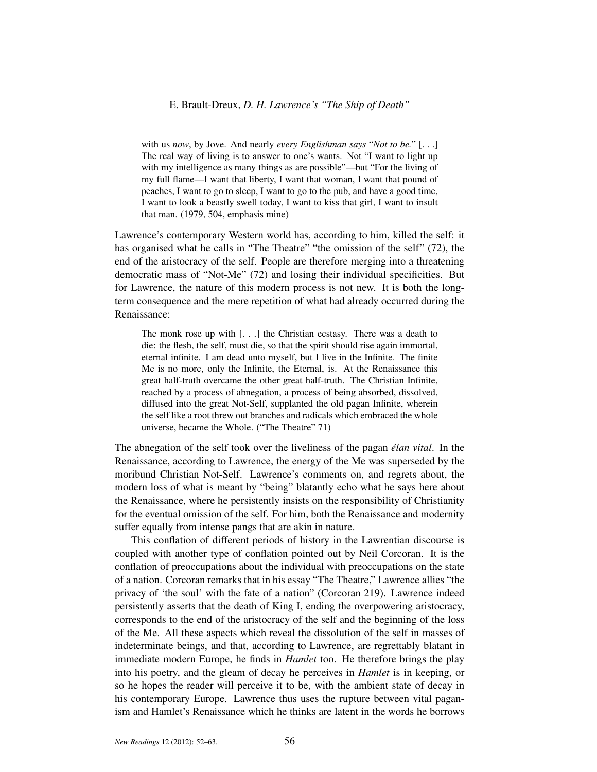with us *now*, by Jove. And nearly *every Englishman says* "*Not to be.*" [. . .] The real way of living is to answer to one's wants. Not "I want to light up with my intelligence as many things as are possible"—but "For the living of my full flame—I want that liberty, I want that woman, I want that pound of peaches, I want to go to sleep, I want to go to the pub, and have a good time, I want to look a beastly swell today, I want to kiss that girl, I want to insult that man. (1979, 504, emphasis mine)

Lawrence's contemporary Western world has, according to him, killed the self: it has organised what he calls in "The Theatre" "the omission of the self" (72), the end of the aristocracy of the self. People are therefore merging into a threatening democratic mass of "Not-Me" (72) and losing their individual specificities. But for Lawrence, the nature of this modern process is not new. It is both the longterm consequence and the mere repetition of what had already occurred during the Renaissance:

The monk rose up with [. . .] the Christian ecstasy. There was a death to die: the flesh, the self, must die, so that the spirit should rise again immortal, eternal infinite. I am dead unto myself, but I live in the Infinite. The finite Me is no more, only the Infinite, the Eternal, is. At the Renaissance this great half-truth overcame the other great half-truth. The Christian Infinite, reached by a process of abnegation, a process of being absorbed, dissolved, diffused into the great Not-Self, supplanted the old pagan Infinite, wherein the self like a root threw out branches and radicals which embraced the whole universe, became the Whole. ("The Theatre" 71)

The abnegation of the self took over the liveliness of the pagan *élan vital*. In the Renaissance, according to Lawrence, the energy of the Me was superseded by the moribund Christian Not-Self. Lawrence's comments on, and regrets about, the modern loss of what is meant by "being" blatantly echo what he says here about the Renaissance, where he persistently insists on the responsibility of Christianity for the eventual omission of the self. For him, both the Renaissance and modernity suffer equally from intense pangs that are akin in nature.

This conflation of different periods of history in the Lawrentian discourse is coupled with another type of conflation pointed out by Neil Corcoran. It is the conflation of preoccupations about the individual with preoccupations on the state of a nation. Corcoran remarks that in his essay "The Theatre," Lawrence allies "the privacy of 'the soul' with the fate of a nation" (Corcoran 219). Lawrence indeed persistently asserts that the death of King I, ending the overpowering aristocracy, corresponds to the end of the aristocracy of the self and the beginning of the loss of the Me. All these aspects which reveal the dissolution of the self in masses of indeterminate beings, and that, according to Lawrence, are regrettably blatant in immediate modern Europe, he finds in *Hamlet* too. He therefore brings the play into his poetry, and the gleam of decay he perceives in *Hamlet* is in keeping, or so he hopes the reader will perceive it to be, with the ambient state of decay in his contemporary Europe. Lawrence thus uses the rupture between vital paganism and Hamlet's Renaissance which he thinks are latent in the words he borrows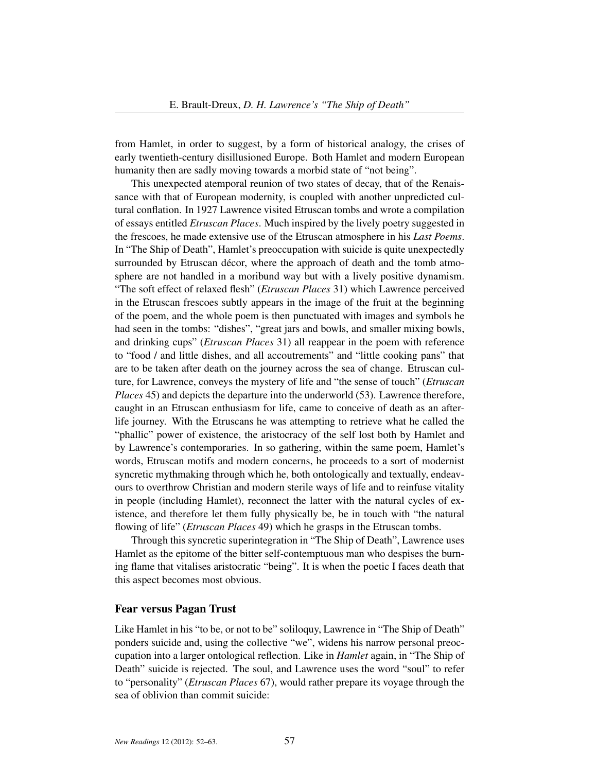from Hamlet, in order to suggest, by a form of historical analogy, the crises of early twentieth-century disillusioned Europe. Both Hamlet and modern European humanity then are sadly moving towards a morbid state of "not being".

This unexpected atemporal reunion of two states of decay, that of the Renaissance with that of European modernity, is coupled with another unpredicted cultural conflation. In 1927 Lawrence visited Etruscan tombs and wrote a compilation of essays entitled *Etruscan Places*. Much inspired by the lively poetry suggested in the frescoes, he made extensive use of the Etruscan atmosphere in his *Last Poems*. In "The Ship of Death", Hamlet's preoccupation with suicide is quite unexpectedly surrounded by Etruscan décor, where the approach of death and the tomb atmosphere are not handled in a moribund way but with a lively positive dynamism. "The soft effect of relaxed flesh" (*Etruscan Places* 31) which Lawrence perceived in the Etruscan frescoes subtly appears in the image of the fruit at the beginning of the poem, and the whole poem is then punctuated with images and symbols he had seen in the tombs: "dishes", "great jars and bowls, and smaller mixing bowls, and drinking cups" (*Etruscan Places* 31) all reappear in the poem with reference to "food / and little dishes, and all accoutrements" and "little cooking pans" that are to be taken after death on the journey across the sea of change. Etruscan culture, for Lawrence, conveys the mystery of life and "the sense of touch" (*Etruscan Places* 45) and depicts the departure into the underworld (53). Lawrence therefore, caught in an Etruscan enthusiasm for life, came to conceive of death as an afterlife journey. With the Etruscans he was attempting to retrieve what he called the "phallic" power of existence, the aristocracy of the self lost both by Hamlet and by Lawrence's contemporaries. In so gathering, within the same poem, Hamlet's words, Etruscan motifs and modern concerns, he proceeds to a sort of modernist syncretic mythmaking through which he, both ontologically and textually, endeavours to overthrow Christian and modern sterile ways of life and to reinfuse vitality in people (including Hamlet), reconnect the latter with the natural cycles of existence, and therefore let them fully physically be, be in touch with "the natural flowing of life" (*Etruscan Places* 49) which he grasps in the Etruscan tombs.

Through this syncretic superintegration in "The Ship of Death", Lawrence uses Hamlet as the epitome of the bitter self-contemptuous man who despises the burning flame that vitalises aristocratic "being". It is when the poetic I faces death that this aspect becomes most obvious.

### Fear versus Pagan Trust

Like Hamlet in his "to be, or not to be" soliloquy, Lawrence in "The Ship of Death" ponders suicide and, using the collective "we", widens his narrow personal preoccupation into a larger ontological reflection. Like in *Hamlet* again, in "The Ship of Death" suicide is rejected. The soul, and Lawrence uses the word "soul" to refer to "personality" (*Etruscan Places* 67), would rather prepare its voyage through the sea of oblivion than commit suicide: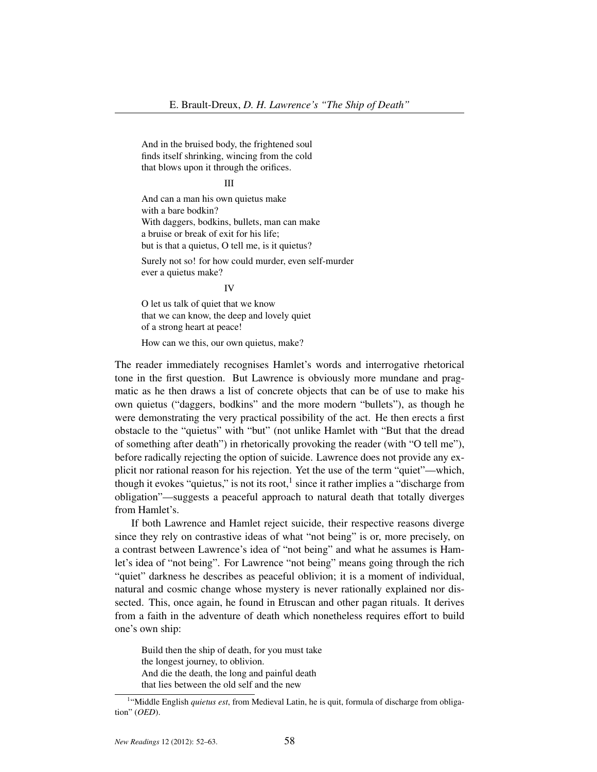And in the bruised body, the frightened soul finds itself shrinking, wincing from the cold that blows upon it through the orifices.

#### III

And can a man his own quietus make with a bare bodkin? With daggers, bodkins, bullets, man can make a bruise or break of exit for his life; but is that a quietus, O tell me, is it quietus?

Surely not so! for how could murder, even self-murder ever a quietus make?

IV

O let us talk of quiet that we know that we can know, the deep and lovely quiet of a strong heart at peace!

How can we this, our own quietus, make?

The reader immediately recognises Hamlet's words and interrogative rhetorical tone in the first question. But Lawrence is obviously more mundane and pragmatic as he then draws a list of concrete objects that can be of use to make his own quietus ("daggers, bodkins" and the more modern "bullets"), as though he were demonstrating the very practical possibility of the act. He then erects a first obstacle to the "quietus" with "but" (not unlike Hamlet with "But that the dread of something after death") in rhetorically provoking the reader (with "O tell me"), before radically rejecting the option of suicide. Lawrence does not provide any explicit nor rational reason for his rejection. Yet the use of the term "quiet"—which, though it evokes "quietus," is not its root, $<sup>1</sup>$  since it rather implies a "discharge from</sup> obligation"—suggests a peaceful approach to natural death that totally diverges from Hamlet's.

If both Lawrence and Hamlet reject suicide, their respective reasons diverge since they rely on contrastive ideas of what "not being" is or, more precisely, on a contrast between Lawrence's idea of "not being" and what he assumes is Hamlet's idea of "not being". For Lawrence "not being" means going through the rich "quiet" darkness he describes as peaceful oblivion; it is a moment of individual, natural and cosmic change whose mystery is never rationally explained nor dissected. This, once again, he found in Etruscan and other pagan rituals. It derives from a faith in the adventure of death which nonetheless requires effort to build one's own ship:

Build then the ship of death, for you must take the longest journey, to oblivion. And die the death, the long and painful death that lies between the old self and the new

<sup>&</sup>lt;sup>1</sup>"Middle English *quietus est*, from Medieval Latin, he is quit, formula of discharge from obligation" (*OED*).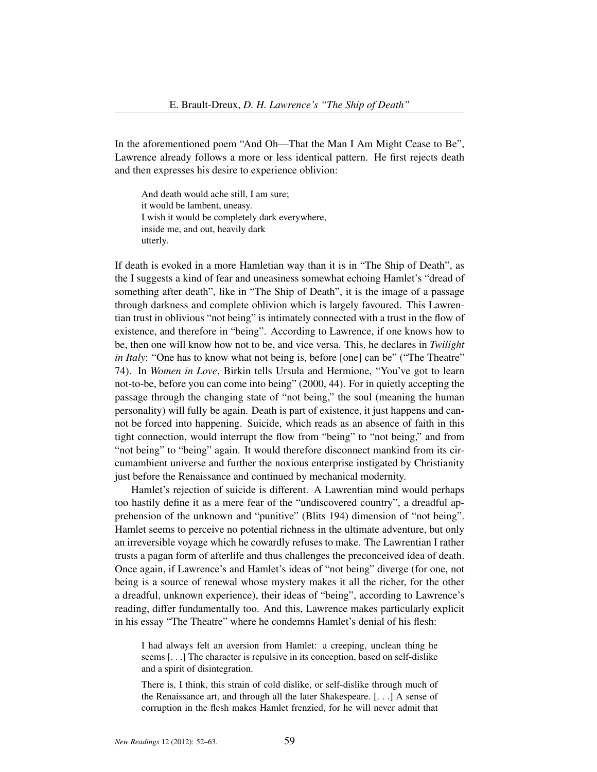In the aforementioned poem "And Oh—That the Man I Am Might Cease to Be", Lawrence already follows a more or less identical pattern. He first rejects death and then expresses his desire to experience oblivion:

And death would ache still, I am sure; it would be lambent, uneasy. I wish it would be completely dark everywhere, inside me, and out, heavily dark utterly.

If death is evoked in a more Hamletian way than it is in "The Ship of Death", as the I suggests a kind of fear and uneasiness somewhat echoing Hamlet's "dread of something after death", like in "The Ship of Death", it is the image of a passage through darkness and complete oblivion which is largely favoured. This Lawrentian trust in oblivious "not being" is intimately connected with a trust in the flow of existence, and therefore in "being". According to Lawrence, if one knows how to be, then one will know how not to be, and vice versa. This, he declares in *Twilight in Italy*: "One has to know what not being is, before [one] can be" ("The Theatre" 74). In *Women in Love*, Birkin tells Ursula and Hermione, "You've got to learn not-to-be, before you can come into being" (2000, 44). For in quietly accepting the passage through the changing state of "not being," the soul (meaning the human personality) will fully be again. Death is part of existence, it just happens and cannot be forced into happening. Suicide, which reads as an absence of faith in this tight connection, would interrupt the flow from "being" to "not being," and from "not being" to "being" again. It would therefore disconnect mankind from its circumambient universe and further the noxious enterprise instigated by Christianity just before the Renaissance and continued by mechanical modernity.

Hamlet's rejection of suicide is different. A Lawrentian mind would perhaps too hastily define it as a mere fear of the "undiscovered country", a dreadful apprehension of the unknown and "punitive" (Blits 194) dimension of "not being". Hamlet seems to perceive no potential richness in the ultimate adventure, but only an irreversible voyage which he cowardly refuses to make. The Lawrentian I rather trusts a pagan form of afterlife and thus challenges the preconceived idea of death. Once again, if Lawrence's and Hamlet's ideas of "not being" diverge (for one, not being is a source of renewal whose mystery makes it all the richer, for the other a dreadful, unknown experience), their ideas of "being", according to Lawrence's reading, differ fundamentally too. And this, Lawrence makes particularly explicit in his essay "The Theatre" where he condemns Hamlet's denial of his flesh:

I had always felt an aversion from Hamlet: a creeping, unclean thing he seems [. . .] The character is repulsive in its conception, based on self-dislike and a spirit of disintegration.

There is, I think, this strain of cold dislike, or self-dislike through much of the Renaissance art, and through all the later Shakespeare. [. . .] A sense of corruption in the flesh makes Hamlet frenzied, for he will never admit that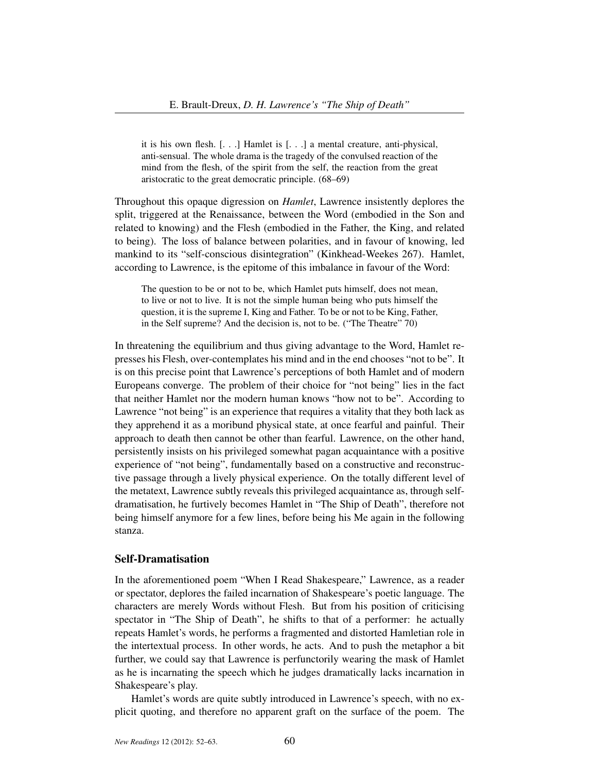it is his own flesh. [. . .] Hamlet is [. . .] a mental creature, anti-physical, anti-sensual. The whole drama is the tragedy of the convulsed reaction of the mind from the flesh, of the spirit from the self, the reaction from the great aristocratic to the great democratic principle. (68–69)

Throughout this opaque digression on *Hamlet*, Lawrence insistently deplores the split, triggered at the Renaissance, between the Word (embodied in the Son and related to knowing) and the Flesh (embodied in the Father, the King, and related to being). The loss of balance between polarities, and in favour of knowing, led mankind to its "self-conscious disintegration" (Kinkhead-Weekes 267). Hamlet, according to Lawrence, is the epitome of this imbalance in favour of the Word:

The question to be or not to be, which Hamlet puts himself, does not mean, to live or not to live. It is not the simple human being who puts himself the question, it is the supreme I, King and Father. To be or not to be King, Father, in the Self supreme? And the decision is, not to be. ("The Theatre" 70)

In threatening the equilibrium and thus giving advantage to the Word, Hamlet represses his Flesh, over-contemplates his mind and in the end chooses "not to be". It is on this precise point that Lawrence's perceptions of both Hamlet and of modern Europeans converge. The problem of their choice for "not being" lies in the fact that neither Hamlet nor the modern human knows "how not to be". According to Lawrence "not being" is an experience that requires a vitality that they both lack as they apprehend it as a moribund physical state, at once fearful and painful. Their approach to death then cannot be other than fearful. Lawrence, on the other hand, persistently insists on his privileged somewhat pagan acquaintance with a positive experience of "not being", fundamentally based on a constructive and reconstructive passage through a lively physical experience. On the totally different level of the metatext, Lawrence subtly reveals this privileged acquaintance as, through selfdramatisation, he furtively becomes Hamlet in "The Ship of Death", therefore not being himself anymore for a few lines, before being his Me again in the following stanza.

# Self-Dramatisation

In the aforementioned poem "When I Read Shakespeare," Lawrence, as a reader or spectator, deplores the failed incarnation of Shakespeare's poetic language. The characters are merely Words without Flesh. But from his position of criticising spectator in "The Ship of Death", he shifts to that of a performer: he actually repeats Hamlet's words, he performs a fragmented and distorted Hamletian role in the intertextual process. In other words, he acts. And to push the metaphor a bit further, we could say that Lawrence is perfunctorily wearing the mask of Hamlet as he is incarnating the speech which he judges dramatically lacks incarnation in Shakespeare's play.

Hamlet's words are quite subtly introduced in Lawrence's speech, with no explicit quoting, and therefore no apparent graft on the surface of the poem. The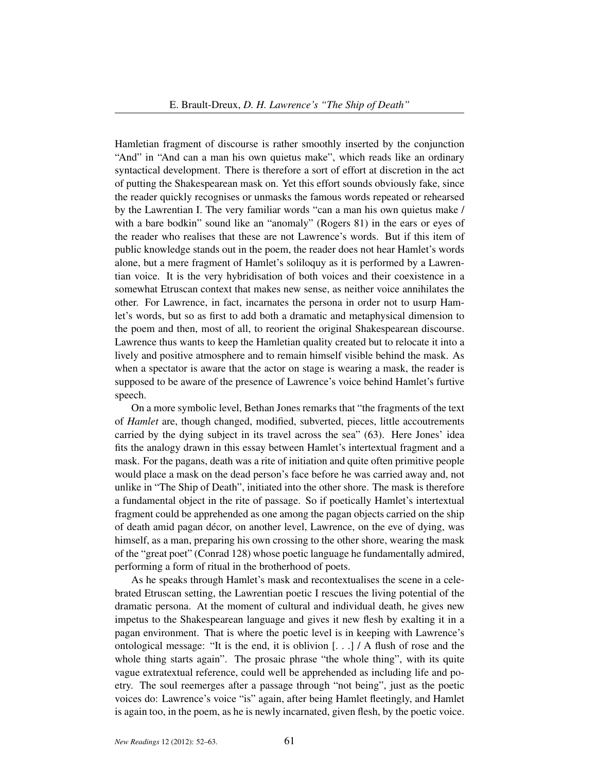Hamletian fragment of discourse is rather smoothly inserted by the conjunction "And" in "And can a man his own quietus make", which reads like an ordinary syntactical development. There is therefore a sort of effort at discretion in the act of putting the Shakespearean mask on. Yet this effort sounds obviously fake, since the reader quickly recognises or unmasks the famous words repeated or rehearsed by the Lawrentian I. The very familiar words "can a man his own quietus make / with a bare bodkin" sound like an "anomaly" (Rogers 81) in the ears or eyes of the reader who realises that these are not Lawrence's words. But if this item of public knowledge stands out in the poem, the reader does not hear Hamlet's words alone, but a mere fragment of Hamlet's soliloquy as it is performed by a Lawrentian voice. It is the very hybridisation of both voices and their coexistence in a somewhat Etruscan context that makes new sense, as neither voice annihilates the other. For Lawrence, in fact, incarnates the persona in order not to usurp Hamlet's words, but so as first to add both a dramatic and metaphysical dimension to the poem and then, most of all, to reorient the original Shakespearean discourse. Lawrence thus wants to keep the Hamletian quality created but to relocate it into a lively and positive atmosphere and to remain himself visible behind the mask. As when a spectator is aware that the actor on stage is wearing a mask, the reader is supposed to be aware of the presence of Lawrence's voice behind Hamlet's furtive speech.

On a more symbolic level, Bethan Jones remarks that "the fragments of the text of *Hamlet* are, though changed, modified, subverted, pieces, little accoutrements carried by the dying subject in its travel across the sea" (63). Here Jones' idea fits the analogy drawn in this essay between Hamlet's intertextual fragment and a mask. For the pagans, death was a rite of initiation and quite often primitive people would place a mask on the dead person's face before he was carried away and, not unlike in "The Ship of Death", initiated into the other shore. The mask is therefore a fundamental object in the rite of passage. So if poetically Hamlet's intertextual fragment could be apprehended as one among the pagan objects carried on the ship of death amid pagan décor, on another level, Lawrence, on the eve of dying, was himself, as a man, preparing his own crossing to the other shore, wearing the mask of the "great poet" (Conrad 128) whose poetic language he fundamentally admired, performing a form of ritual in the brotherhood of poets.

As he speaks through Hamlet's mask and recontextualises the scene in a celebrated Etruscan setting, the Lawrentian poetic I rescues the living potential of the dramatic persona. At the moment of cultural and individual death, he gives new impetus to the Shakespearean language and gives it new flesh by exalting it in a pagan environment. That is where the poetic level is in keeping with Lawrence's ontological message: "It is the end, it is oblivion  $\lceil \cdot \cdot \cdot \rceil$  / A flush of rose and the whole thing starts again". The prosaic phrase "the whole thing", with its quite vague extratextual reference, could well be apprehended as including life and poetry. The soul reemerges after a passage through "not being", just as the poetic voices do: Lawrence's voice "is" again, after being Hamlet fleetingly, and Hamlet is again too, in the poem, as he is newly incarnated, given flesh, by the poetic voice.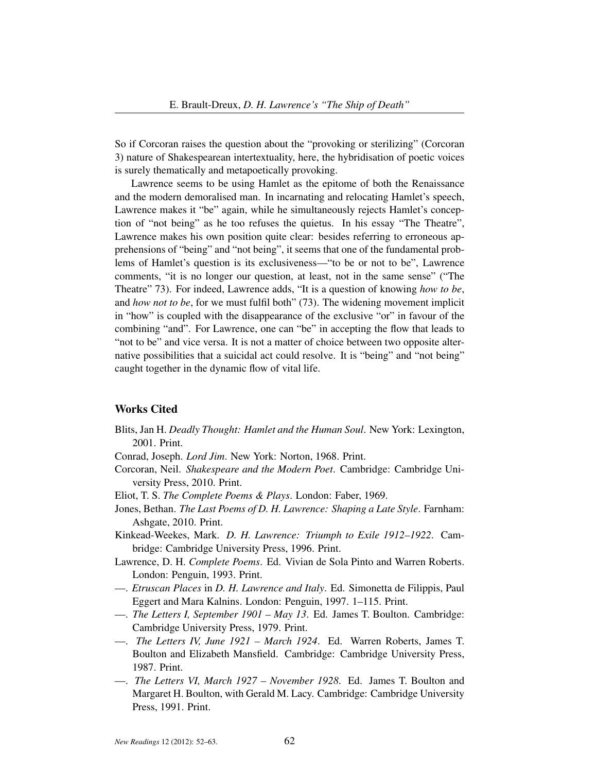So if Corcoran raises the question about the "provoking or sterilizing" (Corcoran 3) nature of Shakespearean intertextuality, here, the hybridisation of poetic voices is surely thematically and metapoetically provoking.

Lawrence seems to be using Hamlet as the epitome of both the Renaissance and the modern demoralised man. In incarnating and relocating Hamlet's speech, Lawrence makes it "be" again, while he simultaneously rejects Hamlet's conception of "not being" as he too refuses the quietus. In his essay "The Theatre", Lawrence makes his own position quite clear: besides referring to erroneous apprehensions of "being" and "not being", it seems that one of the fundamental problems of Hamlet's question is its exclusiveness—"to be or not to be", Lawrence comments, "it is no longer our question, at least, not in the same sense" ("The Theatre" 73). For indeed, Lawrence adds, "It is a question of knowing *how to be*, and *how not to be*, for we must fulfil both" (73). The widening movement implicit in "how" is coupled with the disappearance of the exclusive "or" in favour of the combining "and". For Lawrence, one can "be" in accepting the flow that leads to "not to be" and vice versa. It is not a matter of choice between two opposite alternative possibilities that a suicidal act could resolve. It is "being" and "not being" caught together in the dynamic flow of vital life.

#### Works Cited

Blits, Jan H. *Deadly Thought: Hamlet and the Human Soul*. New York: Lexington, 2001. Print.

Conrad, Joseph. *Lord Jim*. New York: Norton, 1968. Print.

- Corcoran, Neil. *Shakespeare and the Modern Poet*. Cambridge: Cambridge University Press, 2010. Print.
- Eliot, T. S. *The Complete Poems & Plays*. London: Faber, 1969.
- Jones, Bethan. *The Last Poems of D. H. Lawrence: Shaping a Late Style*. Farnham: Ashgate, 2010. Print.
- Kinkead-Weekes, Mark. *D. H. Lawrence: Triumph to Exile 1912–1922*. Cambridge: Cambridge University Press, 1996. Print.
- Lawrence, D. H. *Complete Poems*. Ed. Vivian de Sola Pinto and Warren Roberts. London: Penguin, 1993. Print.
- —. *Etruscan Places* in *D. H. Lawrence and Italy*. Ed. Simonetta de Filippis, Paul Eggert and Mara Kalnins. London: Penguin, 1997. 1–115. Print.
- —. *The Letters I, September 1901 May 13*. Ed. James T. Boulton. Cambridge: Cambridge University Press, 1979. Print.
- —. *The Letters IV, June 1921 March 1924*. Ed. Warren Roberts, James T. Boulton and Elizabeth Mansfield. Cambridge: Cambridge University Press, 1987. Print.
- —. *The Letters VI, March 1927 November 1928*. Ed. James T. Boulton and Margaret H. Boulton, with Gerald M. Lacy. Cambridge: Cambridge University Press, 1991. Print.